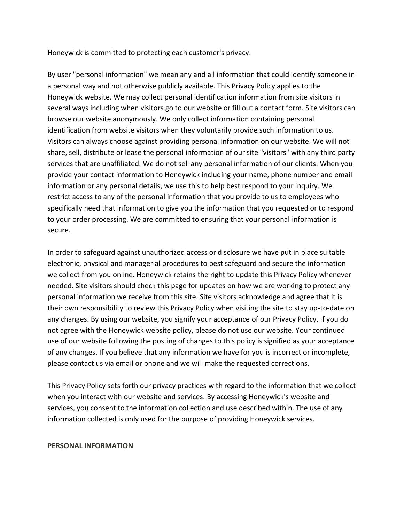Honeywick is committed to protecting each customer's privacy.

By user "personal information" we mean any and all information that could identify someone in a personal way and not otherwise publicly available. This Privacy Policy applies to the Honeywick website. We may collect personal identification information from site visitors in several ways including when visitors go to our website or fill out a contact form. Site visitors can browse our website anonymously. We only collect information containing personal identification from website visitors when they voluntarily provide such information to us. Visitors can always choose against providing personal information on our website. We will not share, sell, distribute or lease the personal information of our site "visitors" with any third party services that are unaffiliated. We do not sell any personal information of our clients. When you provide your contact information to Honeywick including your name, phone number and email information or any personal details, we use this to help best respond to your inquiry. We restrict access to any of the personal information that you provide to us to employees who specifically need that information to give you the information that you requested or to respond to your order processing. We are committed to ensuring that your personal information is secure.

In order to safeguard against unauthorized access or disclosure we have put in place suitable electronic, physical and managerial procedures to best safeguard and secure the information we collect from you online. Honeywick retains the right to update this Privacy Policy whenever needed. Site visitors should check this page for updates on how we are working to protect any personal information we receive from this site. Site visitors acknowledge and agree that it is their own responsibility to review this Privacy Policy when visiting the site to stay up-to-date on any changes. By using our website, you signify your acceptance of our Privacy Policy. If you do not agree with the Honeywick website policy, please do not use our website. Your continued use of our website following the posting of changes to this policy is signified as your acceptance of any changes. If you believe that any information we have for you is incorrect or incomplete, please contact us via email or phone and we will make the requested corrections.

This Privacy Policy sets forth our privacy practices with regard to the information that we collect when you interact with our website and services. By accessing Honeywick's website and services, you consent to the information collection and use described within. The use of any information collected is only used for the purpose of providing Honeywick services.

#### **PERSONAL INFORMATION**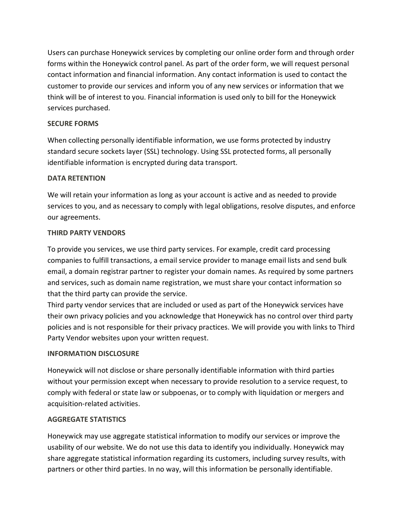Users can purchase Honeywick services by completing our online order form and through order forms within the Honeywick control panel. As part of the order form, we will request personal contact information and financial information. Any contact information is used to contact the customer to provide our services and inform you of any new services or information that we think will be of interest to you. Financial information is used only to bill for the Honeywick services purchased.

## **SECURE FORMS**

When collecting personally identifiable information, we use forms protected by industry standard secure sockets layer (SSL) technology. Using SSL protected forms, all personally identifiable information is encrypted during data transport.

## **DATA RETENTION**

We will retain your information as long as your account is active and as needed to provide services to you, and as necessary to comply with legal obligations, resolve disputes, and enforce our agreements.

## **THIRD PARTY VENDORS**

To provide you services, we use third party services. For example, credit card processing companies to fulfill transactions, a email service provider to manage email lists and send bulk email, a domain registrar partner to register your domain names. As required by some partners and services, such as domain name registration, we must share your contact information so that the third party can provide the service.

Third party vendor services that are included or used as part of the Honeywick services have their own privacy policies and you acknowledge that Honeywick has no control over third party policies and is not responsible for their privacy practices. We will provide you with links to Third Party Vendor websites upon your written request.

# **INFORMATION DISCLOSURE**

Honeywick will not disclose or share personally identifiable information with third parties without your permission except when necessary to provide resolution to a service request, to comply with federal or state law or subpoenas, or to comply with liquidation or mergers and acquisition-related activities.

# **AGGREGATE STATISTICS**

Honeywick may use aggregate statistical information to modify our services or improve the usability of our website. We do not use this data to identify you individually. Honeywick may share aggregate statistical information regarding its customers, including survey results, with partners or other third parties. In no way, will this information be personally identifiable.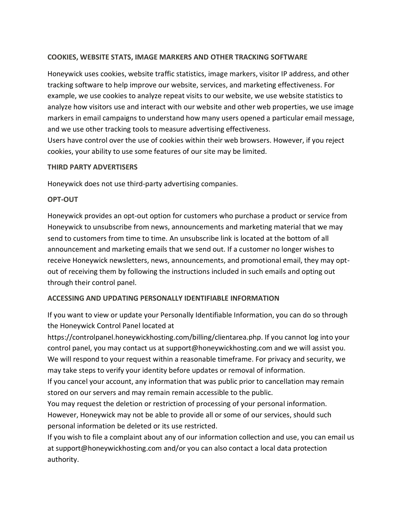## **COOKIES, WEBSITE STATS, IMAGE MARKERS AND OTHER TRACKING SOFTWARE**

Honeywick uses cookies, website traffic statistics, image markers, visitor IP address, and other tracking software to help improve our website, services, and marketing effectiveness. For example, we use cookies to analyze repeat visits to our website, we use website statistics to analyze how visitors use and interact with our website and other web properties, we use image markers in email campaigns to understand how many users opened a particular email message, and we use other tracking tools to measure advertising effectiveness.

Users have control over the use of cookies within their web browsers. However, if you reject cookies, your ability to use some features of our site may be limited.

### **THIRD PARTY ADVERTISERS**

Honeywick does not use third-party advertising companies.

### **OPT-OUT**

Honeywick provides an opt-out option for customers who purchase a product or service from Honeywick to unsubscribe from news, announcements and marketing material that we may send to customers from time to time. An unsubscribe link is located at the bottom of all announcement and marketing emails that we send out. If a customer no longer wishes to receive Honeywick newsletters, news, announcements, and promotional email, they may optout of receiving them by following the instructions included in such emails and opting out through their control panel.

## **ACCESSING AND UPDATING PERSONALLY IDENTIFIABLE INFORMATION**

If you want to view or update your Personally Identifiable Information, you can do so through the Honeywick Control Panel located at

https://controlpanel.honeywickhosting.com/billing/clientarea.php. If you cannot log into your control panel, you may contact us at support@honeywickhosting.com and we will assist you. We will respond to your request within a reasonable timeframe. For privacy and security, we may take steps to verify your identity before updates or removal of information.

If you cancel your account, any information that was public prior to cancellation may remain stored on our servers and may remain remain accessible to the public.

You may request the deletion or restriction of processing of your personal information. However, Honeywick may not be able to provide all or some of our services, should such personal information be deleted or its use restricted.

If you wish to file a complaint about any of our information collection and use, you can email us at support@honeywickhosting.com and/or you can also contact a local data protection authority.